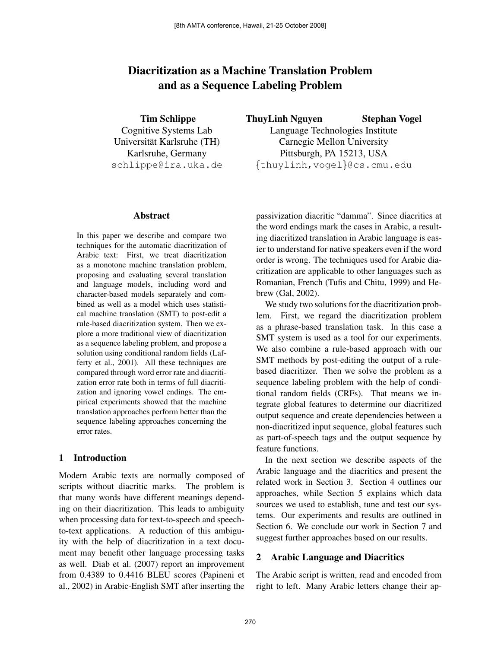# Diacritization as a Machine Translation Problem and as a Sequence Labeling Problem

Tim Schlippe Cognitive Systems Lab Universitat Karlsruhe (TH) ¨ Karlsruhe, Germany schlippe@ira.uka.de

#### Abstract

In this paper we describe and compare two techniques for the automatic diacritization of Arabic text: First, we treat diacritization as a monotone machine translation problem, proposing and evaluating several translation and language models, including word and character-based models separately and combined as well as a model which uses statistical machine translation (SMT) to post-edit a rule-based diacritization system. Then we explore a more traditional view of diacritization as a sequence labeling problem, and propose a solution using conditional random fields (Lafferty et al., 2001). All these techniques are compared through word error rate and diacritization error rate both in terms of full diacritization and ignoring vowel endings. The empirical experiments showed that the machine translation approaches perform better than the sequence labeling approaches concerning the error rates.

## 1 Introduction

Modern Arabic texts are normally composed of scripts without diacritic marks. The problem is that many words have different meanings depending on their diacritization. This leads to ambiguity when processing data for text-to-speech and speechto-text applications. A reduction of this ambiguity with the help of diacritization in a text document may benefit other language processing tasks as well. Diab et al. (2007) report an improvement from 0.4389 to 0.4416 BLEU scores (Papineni et al., 2002) in Arabic-English SMT after inserting the

ThuyLinh Nguyen Stephan Vogel Language Technologies Institute Carnegie Mellon University Pittsburgh, PA 15213, USA

{thuylinh,vogel}@cs.cmu.edu

passivization diacritic "damma". Since diacritics at the word endings mark the cases in Arabic, a resulting diacritized translation in Arabic language is easier to understand for native speakers even if the word order is wrong. The techniques used for Arabic diacritization are applicable to other languages such as Romanian, French (Tufis and Chitu, 1999) and Hebrew (Gal, 2002).

We study two solutions for the diacritization problem. First, we regard the diacritization problem as a phrase-based translation task. In this case a SMT system is used as a tool for our experiments. We also combine a rule-based approach with our SMT methods by post-editing the output of a rulebased diacritizer. Then we solve the problem as a sequence labeling problem with the help of conditional random fields (CRFs). That means we integrate global features to determine our diacritized output sequence and create dependencies between a non-diacritized input sequence, global features such as part-of-speech tags and the output sequence by feature functions.

In the next section we describe aspects of the Arabic language and the diacritics and present the related work in Section 3. Section 4 outlines our approaches, while Section 5 explains which data sources we used to establish, tune and test our systems. Our experiments and results are outlined in Section 6. We conclude our work in Section 7 and suggest further approaches based on our results.

## 2 Arabic Language and Diacritics

The Arabic script is written, read and encoded from right to left. Many Arabic letters change their ap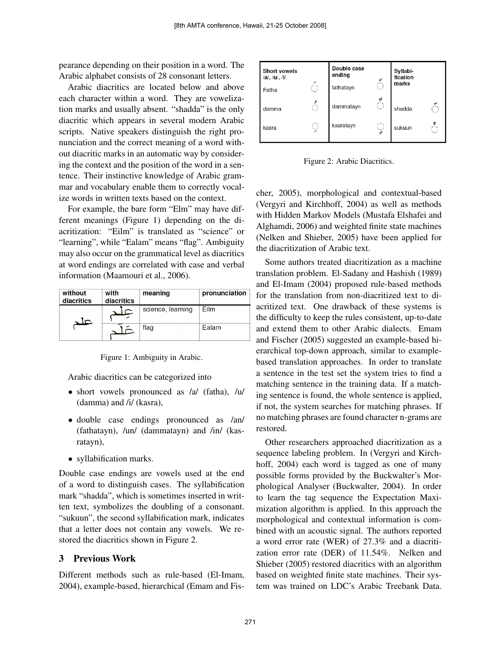pearance depending on their position in a word. The Arabic alphabet consists of 28 consonant letters.

Arabic diacritics are located below and above each character within a word. They are vowelization marks and usually absent. "shadda" is the only diacritic which appears in several modern Arabic scripts. Native speakers distinguish the right pronunciation and the correct meaning of a word without diacritic marks in an automatic way by considering the context and the position of the word in a sentence. Their instinctive knowledge of Arabic grammar and vocabulary enable them to correctly vocalize words in written texts based on the context.

For example, the bare form "Elm" may have different meanings (Figure 1) depending on the diacritization: "Eilm" is translated as "science" or "learning", while "Ealam" means "flag". Ambiguity may also occur on the grammatical level as diacritics at word endings are correlated with case and verbal information (Maamouri et al., 2006).

| without<br>diacritics | with<br>diacritics | meaning           | pronunciation |
|-----------------------|--------------------|-------------------|---------------|
| IC.                   |                    | science, learning | Film          |
|                       |                    | flag              | Ealam         |

Figure 1: Ambiguity in Arabic.

Arabic diacritics can be categorized into

- short vowels pronounced as /a/ (fatha), /u/ (damma) and /i/ (kasra),
- double case endings pronounced as /an/ (fathatayn), /un/ (dammatayn) and /in/ (kasratayn),
- syllabification marks.

Double case endings are vowels used at the end of a word to distinguish cases. The syllabification mark "shadda", which is sometimes inserted in written text, symbolizes the doubling of a consonant. "sukuun", the second syllabification mark, indicates that a letter does not contain any vowels. We restored the diacritics shown in Figure 2.

# 3 Previous Work

Different methods such as rule-based (El-Imam, 2004), example-based, hierarchical (Emam and Fis-



Figure 2: Arabic Diacritics.

cher, 2005), morphological and contextual-based (Vergyri and Kirchhoff, 2004) as well as methods with Hidden Markov Models (Mustafa Elshafei and Alghamdi, 2006) and weighted finite state machines (Nelken and Shieber, 2005) have been applied for the diacritization of Arabic text.

Some authors treated diacritization as a machine translation problem. El-Sadany and Hashish (1989) and El-Imam (2004) proposed rule-based methods for the translation from non-diacritized text to diacritized text. One drawback of these systems is the difficulty to keep the rules consistent, up-to-date and extend them to other Arabic dialects. Emam and Fischer (2005) suggested an example-based hierarchical top-down approach, similar to examplebased translation approaches. In order to translate a sentence in the test set the system tries to find a matching sentence in the training data. If a matching sentence is found, the whole sentence is applied, if not, the system searches for matching phrases. If no matching phrases are found character n-grams are restored.

Other researchers approached diacritization as a sequence labeling problem. In (Vergyri and Kirchhoff, 2004) each word is tagged as one of many possible forms provided by the Buckwalter's Morphological Analyser (Buckwalter, 2004). In order to learn the tag sequence the Expectation Maximization algorithm is applied. In this approach the morphological and contextual information is combined with an acoustic signal. The authors reported a word error rate (WER) of 27.3% and a diacritization error rate (DER) of 11.54%. Nelken and Shieber (2005) restored diacritics with an algorithm based on weighted finite state machines. Their system was trained on LDC's Arabic Treebank Data.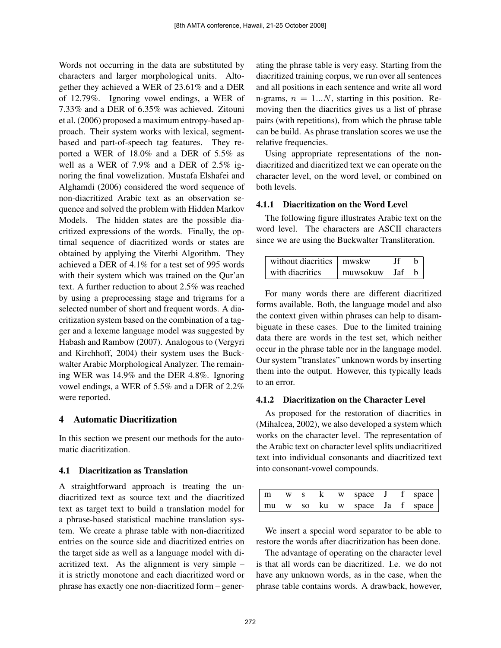Words not occurring in the data are substituted by characters and larger morphological units. Altogether they achieved a WER of 23.61% and a DER of 12.79%. Ignoring vowel endings, a WER of 7.33% and a DER of 6.35% was achieved. Zitouni et al. (2006) proposed a maximum entropy-based approach. Their system works with lexical, segmentbased and part-of-speech tag features. They reported a WER of 18.0% and a DER of 5.5% as well as a WER of 7.9% and a DER of 2.5% ignoring the final vowelization. Mustafa Elshafei and Alghamdi (2006) considered the word sequence of non-diacritized Arabic text as an observation sequence and solved the problem with Hidden Markov Models. The hidden states are the possible diacritized expressions of the words. Finally, the optimal sequence of diacritized words or states are obtained by applying the Viterbi Algorithm. They achieved a DER of 4.1% for a test set of 995 words with their system which was trained on the Qur'an text. A further reduction to about 2.5% was reached by using a preprocessing stage and trigrams for a selected number of short and frequent words. A diacritization system based on the combination of a tagger and a lexeme language model was suggested by Habash and Rambow (2007). Analogous to (Vergyri and Kirchhoff, 2004) their system uses the Buckwalter Arabic Morphological Analyzer. The remaining WER was 14.9% and the DER 4.8%. Ignoring vowel endings, a WER of 5.5% and a DER of 2.2% were reported.

## 4 Automatic Diacritization

In this section we present our methods for the automatic diacritization.

#### 4.1 Diacritization as Translation

A straightforward approach is treating the undiacritized text as source text and the diacritized text as target text to build a translation model for a phrase-based statistical machine translation system. We create a phrase table with non-diacritized entries on the source side and diacritized entries on the target side as well as a language model with diacritized text. As the alignment is very simple – it is strictly monotone and each diacritized word or phrase has exactly one non-diacritized form – generating the phrase table is very easy. Starting from the diacritized training corpus, we run over all sentences and all positions in each sentence and write all word n-grams,  $n = 1...N$ , starting in this position. Removing then the diacritics gives us a list of phrase pairs (with repetitions), from which the phrase table can be build. As phrase translation scores we use the relative frequencies.

Using appropriate representations of the nondiacritized and diacritized text we can operate on the character level, on the word level, or combined on both levels.

#### 4.1.1 Diacritization on the Word Level

The following figure illustrates Arabic text on the word level. The characters are ASCII characters since we are using the Buckwalter Transliteration.

| without diacritics $\parallel$ mwskw |          |       |  |
|--------------------------------------|----------|-------|--|
| with diacritics                      | muwsokuw | - Jaf |  |

For many words there are different diacritized forms available. Both, the language model and also the context given within phrases can help to disambiguate in these cases. Due to the limited training data there are words in the test set, which neither occur in the phrase table nor in the language model. Our system "translates" unknown words by inserting them into the output. However, this typically leads to an error.

#### 4.1.2 Diacritization on the Character Level

As proposed for the restoration of diacritics in (Mihalcea, 2002), we also developed a system which works on the character level. The representation of the Arabic text on character level splits undiacritized text into individual consonants and diacritized text into consonant-vowel compounds.

| m |  |  |  | w s k w space J f space       |
|---|--|--|--|-------------------------------|
|   |  |  |  | mu w so ku w space Ja f space |

We insert a special word separator to be able to restore the words after diacritization has been done.

The advantage of operating on the character level is that all words can be diacritized. I.e. we do not have any unknown words, as in the case, when the phrase table contains words. A drawback, however,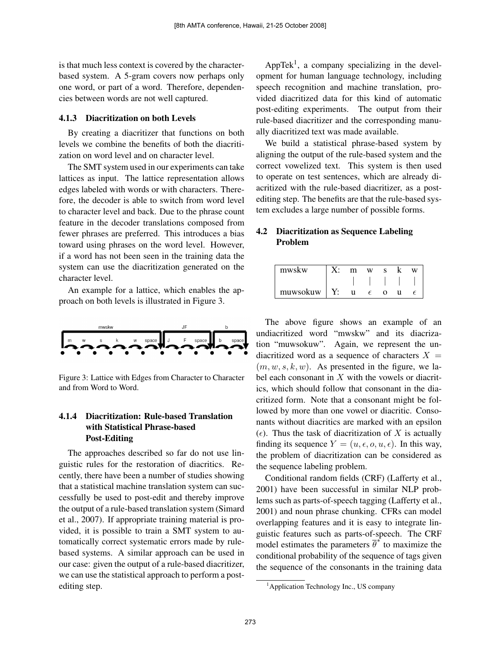is that much less context is covered by the characterbased system. A 5-gram covers now perhaps only one word, or part of a word. Therefore, dependencies between words are not well captured.

#### 4.1.3 Diacritization on both Levels

By creating a diacritizer that functions on both levels we combine the benefits of both the diacritization on word level and on character level.

The SMT system used in our experiments can take lattices as input. The lattice representation allows edges labeled with words or with characters. Therefore, the decoder is able to switch from word level to character level and back. Due to the phrase count feature in the decoder translations composed from fewer phrases are preferred. This introduces a bias toward using phrases on the word level. However, if a word has not been seen in the training data the system can use the diacritization generated on the character level.

An example for a lattice, which enables the approach on both levels is illustrated in Figure 3.



Figure 3: Lattice with Edges from Character to Character and from Word to Word.

## 4.1.4 Diacritization: Rule-based Translation with Statistical Phrase-based Post-Editing

The approaches described so far do not use linguistic rules for the restoration of diacritics. Recently, there have been a number of studies showing that a statistical machine translation system can successfully be used to post-edit and thereby improve the output of a rule-based translation system (Simard et al., 2007). If appropriate training material is provided, it is possible to train a SMT system to automatically correct systematic errors made by rulebased systems. A similar approach can be used in our case: given the output of a rule-based diacritizer, we can use the statistical approach to perform a postediting step.

AppTek<sup>1</sup>, a company specializing in the development for human language technology, including speech recognition and machine translation, provided diacritized data for this kind of automatic post-editing experiments. The output from their rule-based diacritizer and the corresponding manually diacritized text was made available.

We build a statistical phrase-based system by aligning the output of the rule-based system and the correct vowelized text. This system is then used to operate on test sentences, which are already diacritized with the rule-based diacritizer, as a postediting step. The benefits are that the rule-based system excludes a large number of possible forms.

# 4.2 Diacritization as Sequence Labeling Problem

| mwskw    |  | w |   | W |
|----------|--|---|---|---|
|          |  |   |   |   |
| muwsokuw |  |   | Ω |   |

The above figure shows an example of an undiacritized word "mwskw" and its diacrization "muwsokuw". Again, we represent the undiacritized word as a sequence of characters  $X =$  $(m, w, s, k, w)$ . As presented in the figure, we label each consonant in  $X$  with the vowels or diacritics, which should follow that consonant in the diacritized form. Note that a consonant might be followed by more than one vowel or diacritic. Consonants without diacritics are marked with an epsilon  $(\epsilon)$ . Thus the task of diacritization of X is actually finding its sequence  $Y = (u, \epsilon, o, u, \epsilon)$ . In this way, the problem of diacritization can be considered as the sequence labeling problem.

Conditional random fields (CRF) (Lafferty et al., 2001) have been successful in similar NLP problems such as parts-of-speech tagging (Lafferty et al., 2001) and noun phrase chunking. CFRs can model overlapping features and it is easy to integrate linguistic features such as parts-of-speech. The CRF model estimates the parameters  $\overline{\theta}^*$  to maximize the conditional probability of the sequence of tags given the sequence of the consonants in the training data

<sup>1</sup>Application Technology Inc., US company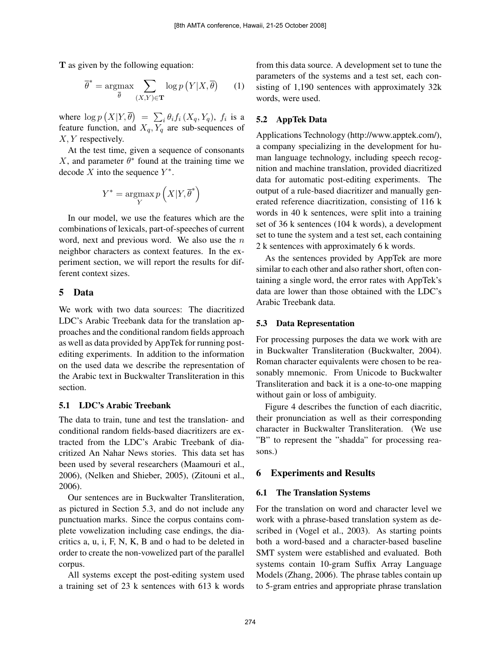T as given by the following equation:

$$
\overline{\theta}^* = \underset{\overline{\theta}}{\text{argmax}} \sum_{(X,Y)\in\mathbf{T}} \log p\left(Y|X,\overline{\theta}\right) \qquad (1)
$$

where  $\log p(X|Y, \overline{\theta}) = \sum_i \theta_i f_i(X_q, Y_q)$ ,  $f_i$  is a feature function, and  $X_q, Y_q$  are sub-sequences of X, Y respectively.

At the test time, given a sequence of consonants X, and parameter  $\theta^*$  found at the training time we decode X into the sequence  $Y^*$ .

$$
Y^* = \operatornamewithlimits{argmax}_{Y} p\left(X|Y, \overline{\theta}^*\right)
$$

In our model, we use the features which are the combinations of lexicals, part-of-speeches of current word, next and previous word. We also use the  $n$ neighbor characters as context features. In the experiment section, we will report the results for different context sizes.

## 5 Data

We work with two data sources: The diacritized LDC's Arabic Treebank data for the translation approaches and the conditional random fields approach as well as data provided by AppTek for running postediting experiments. In addition to the information on the used data we describe the representation of the Arabic text in Buckwalter Transliteration in this section.

#### 5.1 LDC's Arabic Treebank

The data to train, tune and test the translation- and conditional random fields-based diacritizers are extracted from the LDC's Arabic Treebank of diacritized An Nahar News stories. This data set has been used by several researchers (Maamouri et al., 2006), (Nelken and Shieber, 2005), (Zitouni et al., 2006).

Our sentences are in Buckwalter Transliteration, as pictured in Section 5.3, and do not include any punctuation marks. Since the corpus contains complete vowelization including case endings, the diacritics a, u, i, F, N, K, B and o had to be deleted in order to create the non-vowelized part of the parallel corpus.

All systems except the post-editing system used a training set of 23 k sentences with 613 k words

from this data source. A development set to tune the parameters of the systems and a test set, each consisting of 1,190 sentences with approximately 32k words, were used.

## 5.2 AppTek Data

Applications Technology (http://www.apptek.com/), a company specializing in the development for human language technology, including speech recognition and machine translation, provided diacritized data for automatic post-editing experiments. The output of a rule-based diacritizer and manually generated reference diacritization, consisting of 116 k words in 40 k sentences, were split into a training set of 36 k sentences (104 k words), a development set to tune the system and a test set, each containing 2 k sentences with approximately 6 k words.

As the sentences provided by AppTek are more similar to each other and also rather short, often containing a single word, the error rates with AppTek's data are lower than those obtained with the LDC's Arabic Treebank data.

#### 5.3 Data Representation

For processing purposes the data we work with are in Buckwalter Transliteration (Buckwalter, 2004). Roman character equivalents were chosen to be reasonably mnemonic. From Unicode to Buckwalter Transliteration and back it is a one-to-one mapping without gain or loss of ambiguity.

Figure 4 describes the function of each diacritic, their pronunciation as well as their corresponding character in Buckwalter Transliteration. (We use "B" to represent the "shadda" for processing reasons.)

## 6 Experiments and Results

## 6.1 The Translation Systems

For the translation on word and character level we work with a phrase-based translation system as described in (Vogel et al., 2003). As starting points both a word-based and a character-based baseline SMT system were established and evaluated. Both systems contain 10-gram Suffix Array Language Models (Zhang, 2006). The phrase tables contain up to 5-gram entries and appropriate phrase translation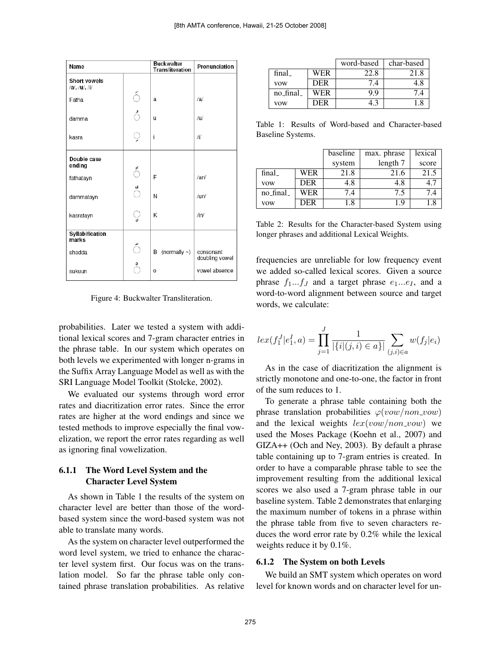| Name                                 |     | <b>Buckwalter</b><br><b>Transliteration</b> | Pronunciation               |
|--------------------------------------|-----|---------------------------------------------|-----------------------------|
| <b>Short vowels</b><br>/a/, /u/, /i/ |     |                                             |                             |
| Fatha                                | ó   | a                                           | a                           |
| damma                                | ं   | u                                           | /u/                         |
| kasra                                | Ò   | İ                                           | Ϊl                          |
| Double case<br>ending                |     |                                             |                             |
| fathatayn                            | ៍   | F                                           | /an/                        |
| dammatayn                            | ័   | N                                           | /un/                        |
| kasratayn                            | ្វ្ | K                                           | $/$ in/                     |
| Syllabification<br>marks             |     |                                             |                             |
| shadda                               | ័   | (normally $\sim$ )<br>B                     | consonant<br>doubling vowel |
| sukuun                               |     | O                                           | vowel absence               |

Figure 4: Buckwalter Transliteration.

probabilities. Later we tested a system with additional lexical scores and 7-gram character entries in the phrase table. In our system which operates on both levels we experimented with longer n-grams in the Suffix Array Language Model as well as with the SRI Language Model Toolkit (Stolcke, 2002).

We evaluated our systems through word error rates and diacritization error rates. Since the error rates are higher at the word endings and since we tested methods to improve especially the final vowelization, we report the error rates regarding as well as ignoring final vowelization.

## 6.1.1 The Word Level System and the Character Level System

As shown in Table 1 the results of the system on character level are better than those of the wordbased system since the word-based system was not able to translate many words.

As the system on character level outperformed the word level system, we tried to enhance the character level system first. Our focus was on the translation model. So far the phrase table only contained phrase translation probabilities. As relative

|            |            | word-based     | char-based |
|------------|------------|----------------|------------|
| final      | WER        | 22.8           | 21.8       |
| <b>VOW</b> | <b>DER</b> | $^{\prime}$ .4 | 4.8        |
| no final   | WER        | 9 Q            | 74         |
| vow        | DER        |                |            |

Table 1: Results of Word-based and Character-based Baseline Systems.

|            |            | baseline | max. phrase | lexical |
|------------|------------|----------|-------------|---------|
|            |            | system   | length 7    | score   |
| final_     | WER        | 21.8     | 21.6        | 21.5    |
| <b>VOW</b> | <b>DER</b> | 4.8      | 4.8         | 4.      |
| no_final_  | WER        | 7.4      | 7.5         | 7.4     |
| <b>VOW</b> | DER        | 1.8      | 19          |         |

Table 2: Results for the Character-based System using longer phrases and additional Lexical Weights.

frequencies are unreliable for low frequency event we added so-called lexical scores. Given a source phrase  $f_1...f_J$  and a target phrase  $e_1...e_J$ , and a word-to-word alignment between source and target words, we calculate:

$$
lex(f_1^J|e_1^I, a) = \prod_{j=1}^J \frac{1}{|\{i|(j, i) \in a\}|} \sum_{(j,i) \in a} w(f_j|e_i)
$$

As in the case of diacritization the alignment is strictly monotone and one-to-one, the factor in front of the sum reduces to 1.

To generate a phrase table containing both the phrase translation probabilities  $\varphi(vow/non\_vow)$ and the lexical weights  $lex(vow/non\_vow)$  we used the Moses Package (Koehn et al., 2007) and GIZA++ (Och and Ney, 2003). By default a phrase table containing up to 7-gram entries is created. In order to have a comparable phrase table to see the improvement resulting from the additional lexical scores we also used a 7-gram phrase table in our baseline system. Table 2 demonstrates that enlarging the maximum number of tokens in a phrase within the phrase table from five to seven characters reduces the word error rate by 0.2% while the lexical weights reduce it by 0.1%.

#### 6.1.2 The System on both Levels

We build an SMT system which operates on word level for known words and on character level for un-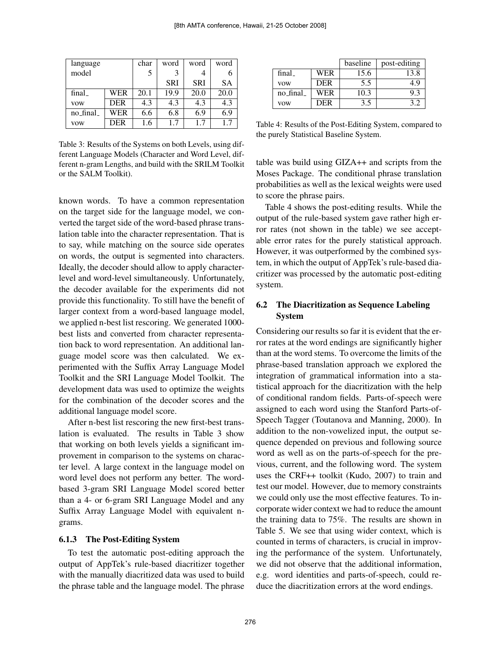| language   |            | char | word       | word       | word |
|------------|------------|------|------------|------------|------|
| model      |            | 5    | 3          |            |      |
|            |            |      | <b>SRI</b> | <b>SRI</b> | SА   |
| final      | <b>WER</b> | 20.1 | 19.9       | 20.0       | 20.0 |
| <b>VOW</b> | <b>DER</b> | 4.3  | 4.3        | 4.3        | 4.3  |
| no_final_  | WER        | 6.6  | 6.8        | 6.9        | 6.9  |
| vow        | <b>DER</b> | 1.6  | 1.7        | 17         |      |

Table 3: Results of the Systems on both Levels, using different Language Models (Character and Word Level, different n-gram Lengths, and build with the SRILM Toolkit or the SALM Toolkit).

known words. To have a common representation on the target side for the language model, we converted the target side of the word-based phrase translation table into the character representation. That is to say, while matching on the source side operates on words, the output is segmented into characters. Ideally, the decoder should allow to apply characterlevel and word-level simultaneously. Unfortunately, the decoder available for the experiments did not provide this functionality. To still have the benefit of larger context from a word-based language model, we applied n-best list rescoring. We generated 1000 best lists and converted from character representation back to word representation. An additional language model score was then calculated. We experimented with the Suffix Array Language Model Toolkit and the SRI Language Model Toolkit. The development data was used to optimize the weights for the combination of the decoder scores and the additional language model score.

After n-best list rescoring the new first-best translation is evaluated. The results in Table 3 show that working on both levels yields a significant improvement in comparison to the systems on character level. A large context in the language model on word level does not perform any better. The wordbased 3-gram SRI Language Model scored better than a 4- or 6-gram SRI Language Model and any Suffix Array Language Model with equivalent ngrams.

#### 6.1.3 The Post-Editing System

To test the automatic post-editing approach the output of AppTek's rule-based diacritizer together with the manually diacritized data was used to build the phrase table and the language model. The phrase

|            |            | baseline | post-editing |  |
|------------|------------|----------|--------------|--|
| final      | WER        | 15.6     | 13.8         |  |
| <b>VOW</b> | <b>DER</b> | 5.5      | 4 Q          |  |
| no final   | WER        | 10.3     | 9.3          |  |
| vow        | DER        | 3.5      |              |  |

Table 4: Results of the Post-Editing System, compared to the purely Statistical Baseline System.

table was build using GIZA++ and scripts from the Moses Package. The conditional phrase translation probabilities as well as the lexical weights were used to score the phrase pairs.

Table 4 shows the post-editing results. While the output of the rule-based system gave rather high error rates (not shown in the table) we see acceptable error rates for the purely statistical approach. However, it was outperformed by the combined system, in which the output of AppTek's rule-based diacritizer was processed by the automatic post-editing system.

## 6.2 The Diacritization as Sequence Labeling System

Considering our results so far it is evident that the error rates at the word endings are significantly higher than at the word stems. To overcome the limits of the phrase-based translation approach we explored the integration of grammatical information into a statistical approach for the diacritization with the help of conditional random fields. Parts-of-speech were assigned to each word using the Stanford Parts-of-Speech Tagger (Toutanova and Manning, 2000). In addition to the non-vowelized input, the output sequence depended on previous and following source word as well as on the parts-of-speech for the previous, current, and the following word. The system uses the CRF++ toolkit (Kudo, 2007) to train and test our model. However, due to memory constraints we could only use the most effective features. To incorporate wider context we had to reduce the amount the training data to 75%. The results are shown in Table 5. We see that using wider context, which is counted in terms of characters, is crucial in improving the performance of the system. Unfortunately, we did not observe that the additional information, e.g. word identities and parts-of-speech, could reduce the diacritization errors at the word endings.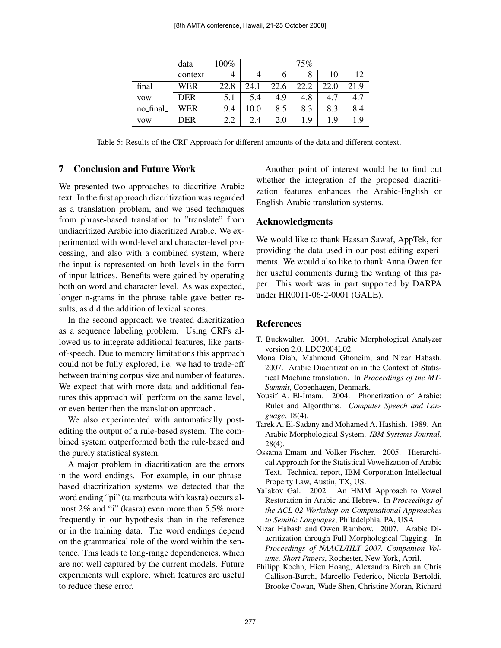|            | data       | $100\%$ |      |      | 75%  |      |      |
|------------|------------|---------|------|------|------|------|------|
|            | context    | 4       | 4    | n    |      | 10   | 12.  |
| final_     | WER        | 22.8    | 24.1 | 22.6 | 22.2 | 22.0 | 21.9 |
| <b>VOW</b> | <b>DER</b> | 5.1     | 5.4  | 4.9  | 4.8  | 4.7  |      |
| no_final_  | WER        | 9.4     | 10.0 | 8.5  | 8.3  | 8.3  | 8.4  |
| <b>VOW</b> | <b>DER</b> | 2.2     | 2.4  | 2.0  | 1.9  | 1.9  | 19   |

Table 5: Results of the CRF Approach for different amounts of the data and different context.

## 7 Conclusion and Future Work

We presented two approaches to diacritize Arabic text. In the first approach diacritization was regarded as a translation problem, and we used techniques from phrase-based translation to "translate" from undiacritized Arabic into diacritized Arabic. We experimented with word-level and character-level processing, and also with a combined system, where the input is represented on both levels in the form of input lattices. Benefits were gained by operating both on word and character level. As was expected, longer n-grams in the phrase table gave better results, as did the addition of lexical scores.

In the second approach we treated diacritization as a sequence labeling problem. Using CRFs allowed us to integrate additional features, like partsof-speech. Due to memory limitations this approach could not be fully explored, i.e. we had to trade-off between training corpus size and number of features. We expect that with more data and additional features this approach will perform on the same level, or even better then the translation approach.

We also experimented with automatically postediting the output of a rule-based system. The combined system outperformed both the rule-based and the purely statistical system.

A major problem in diacritization are the errors in the word endings. For example, in our phrasebased diacritization systems we detected that the word ending "pi" (ta marbouta with kasra) occurs almost 2% and "i" (kasra) even more than 5.5% more frequently in our hypothesis than in the reference or in the training data. The word endings depend on the grammatical role of the word within the sentence. This leads to long-range dependencies, which are not well captured by the current models. Future experiments will explore, which features are useful to reduce these error.

Another point of interest would be to find out whether the integration of the proposed diacritization features enhances the Arabic-English or English-Arabic translation systems.

## Acknowledgments

We would like to thank Hassan Sawaf, AppTek, for providing the data used in our post-editing experiments. We would also like to thank Anna Owen for her useful comments during the writing of this paper. This work was in part supported by DARPA under HR0011-06-2-0001 (GALE).

## References

- T. Buckwalter. 2004. Arabic Morphological Analyzer version 2.0. LDC2004L02.
- Mona Diab, Mahmoud Ghoneim, and Nizar Habash. 2007. Arabic Diacritization in the Context of Statistical Machine translation. In *Proceedings of the MT-Summit*, Copenhagen, Denmark.
- Yousif A. El-Imam. 2004. Phonetization of Arabic: Rules and Algorithms. *Computer Speech and Language*, 18(4).
- Tarek A. El-Sadany and Mohamed A. Hashish. 1989. An Arabic Morphological System. *IBM Systems Journal*, 28(4).
- Ossama Emam and Volker Fischer. 2005. Hierarchical Approach for the Statistical Vowelization of Arabic Text. Technical report, IBM Corporation Intellectual Property Law, Austin, TX, US.
- Ya'akov Gal. 2002. An HMM Approach to Vowel Restoration in Arabic and Hebrew. In *Proceedings of the ACL-02 Workshop on Computational Approaches to Semitic Languages*, Philadelphia, PA, USA.
- Nizar Habash and Owen Rambow. 2007. Arabic Diacritization through Full Morphological Tagging. In *Proceedings of NAACL/HLT 2007. Companion Volume, Short Papers*, Rochester, New York, April.
- Philipp Koehn, Hieu Hoang, Alexandra Birch an Chris Callison-Burch, Marcello Federico, Nicola Bertoldi, Brooke Cowan, Wade Shen, Christine Moran, Richard